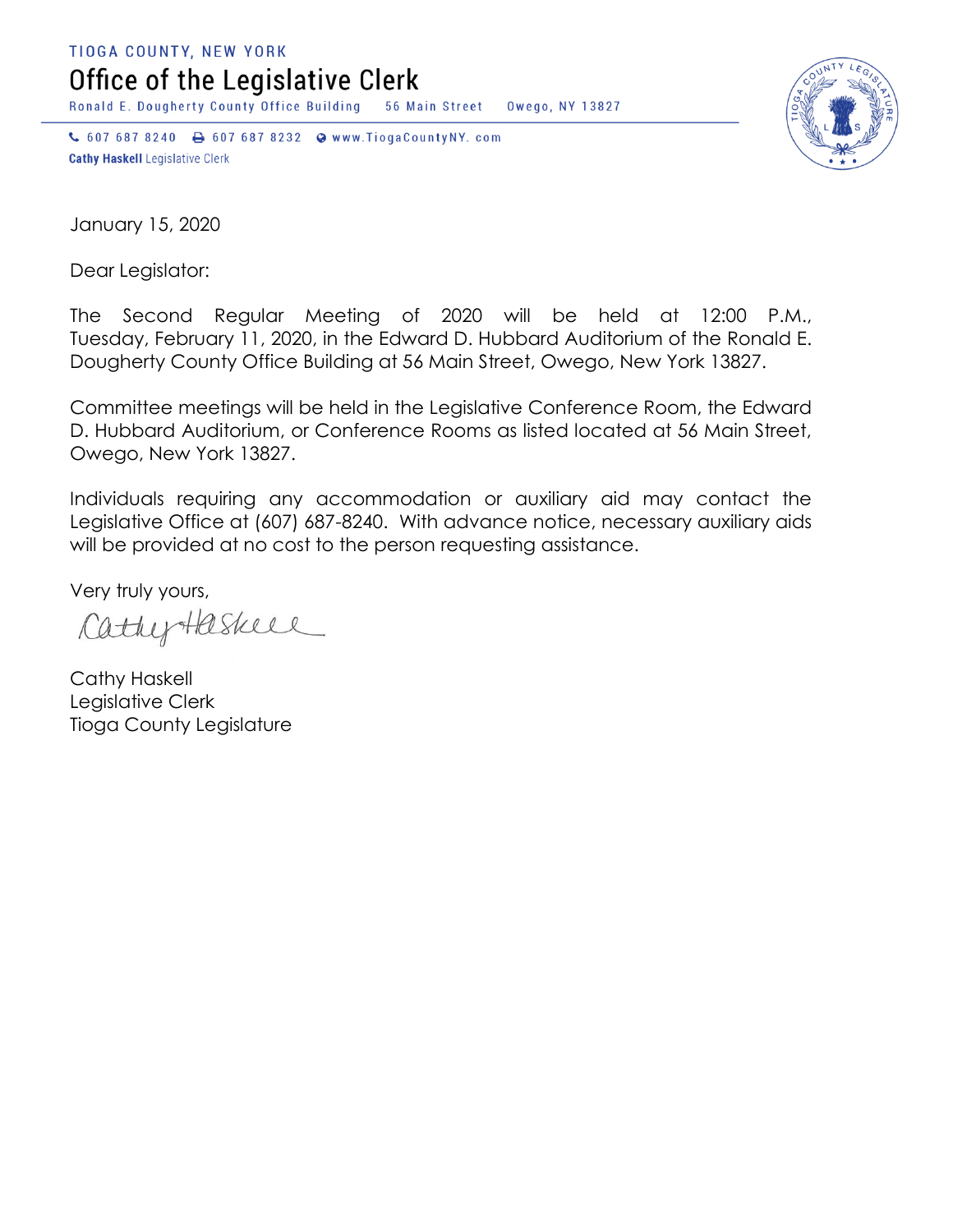TIOGA COUNTY, NEW YORK

Office of the Legislative Clerk

Ronald E. Dougherty County Office Building 56 Main Street Owego, NY 13827

↓ 607 687 8240 → 607 687 8232 → www.TiogaCountyNY.com **Cathy Haskell Legislative Clerk** 



January 15, 2020

Dear Legislator:

The Second Regular Meeting of 2020 will be held at 12:00 P.M., Tuesday, February 11, 2020, in the Edward D. Hubbard Auditorium of the Ronald E. Dougherty County Office Building at 56 Main Street, Owego, New York 13827.

Committee meetings will be held in the Legislative Conference Room, the Edward D. Hubbard Auditorium, or Conference Rooms as listed located at 56 Main Street, Owego, New York 13827.

Individuals requiring any accommodation or auxiliary aid may contact the Legislative Office at (607) 687-8240. With advance notice, necessary auxiliary aids will be provided at no cost to the person requesting assistance.

Very truly yours,

CathyHaskeel

Cathy Haskell Legislative Clerk Tioga County Legislature